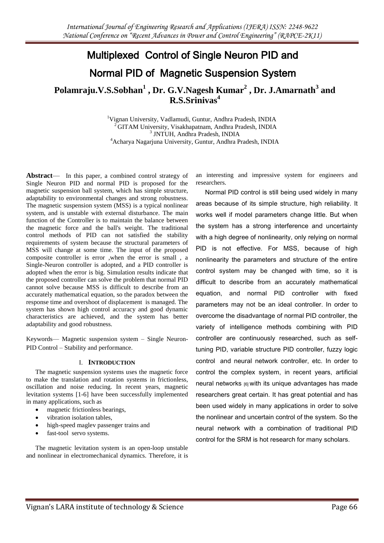# Multiplexed Control of Single Neuron PID and Normal PID of Magnetic Suspension System

**Polamraju.V.S.Sobhan<sup>1</sup> , Dr. G.V.Nagesh Kumar<sup>2</sup> , Dr. J.Amarnath<sup>3</sup> and R.S.Srinivas<sup>4</sup>** 

> Vignan University, Vadlamudi, Guntur, Andhra Pradesh, INDIA <sup>2</sup>GITAM University, Visakhapatnam, Andhra Pradesh, INDIA JNTUH, Andhra Pradesh, INDIA Acharya Nagarjuna University, Guntur, Andhra Pradesh, INDIA

Abstract— In this paper, a combined control strategy of Single Neuron PID and normal PID is proposed for the magnetic suspension ball system, which has simple structure, adaptability to environmental changes and strong robustness. The magnetic suspension system (MSS) is a typical nonlinear system, and is unstable with external disturbance. The main function of the Controller is to maintain the balance between the magnetic force and the ball's weight. The traditional control methods of PID can not satisfied the stability requirements of system because the structural parameters of MSS will change at some time. The input of the proposed composite controller is error ,when the error is small , a Single-Neuron controller is adopted, and a PID controller is adopted when the error is big. Simulation results indicate that the proposed controller can solve the problem that normal PID cannot solve because MSS is difficult to describe from an accurately mathematical equation, so the paradox between the response time and overshoot of displacement is managed. The system has shown high control accuracy and good dynamic characteristics are achieved, and the system has better adaptability and good robustness.

Keywords— Magnetic suspension system – Single Neuron-PID Control – Stability and performance.

#### I. **INTRODUCTION**

The magnetic suspension systems uses the magnetic force to make the translation and rotation systems in frictionless, oscillation and noise reducing. In recent years, magnetic levitation systems [1-6] have been successfully implemented in many applications, such as

- magnetic frictionless bearings,
- vibration isolation tables,
- high-speed maglev passenger trains and
- fast-tool servo systems.

The magnetic levitation system is an open-loop unstable and nonlinear in electromechanical dynamics. Therefore, it is an interesting and impressive system for engineers and researchers.

Normal PID control is still being used widely in many areas because of its simple structure, high reliability. It works well if model parameters change little. But when the system has a strong interference and uncertainty with a high degree of nonlinearity, only relying on normal PID is not effective. For MSS, because of high nonlinearity the parameters and structure of the entire control system may be changed with time, so it is difficult to describe from an accurately mathematical equation, and normal PID controller with fixed parameters may not be an ideal controller. In order to overcome the disadvantage of normal PID controller, the variety of intelligence methods combining with PID controller are continuously researched, such as selftuning PID, variable structure PID controller, fuzzy logic control and neural network controller, etc. In order to control the complex system, in recent years, artificial neural networks [6] with its unique advantages has made researchers great certain. It has great potential and has been used widely in many applications in order to solve the nonlinear and uncertain control of the system. So the neural network with a combination of traditional PID control for the SRM is hot research for many scholars.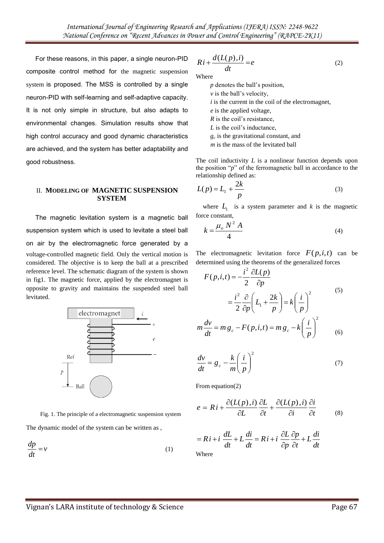For these reasons, in this paper, a single neuron-PID composite control method for the magnetic suspension system is proposed. The MSS is controlled by a single neuron-PID with self-learning and self-adaptive capacity. It is not only simple in structure, but also adapts to environmental changes. Simulation results show that high control accuracy and good dynamic characteristics are achieved, and the system has better adaptability and good robustness.

#### II. **MODELING OF MAGNETIC SUSPENSION SYSTEM**

The magnetic levitation system is a magnetic ball suspension system which is used to levitate a steel ball on air by the electromagnetic force generated by a voltage-controlled magnetic field. Only the vertical motion is considered. The objective is to keep the ball at a prescribed reference level. The schematic diagram of the system is shown in fig1. The magnetic force, applied by the electromagnet is opposite to gravity and maintains the suspended steel ball levitated.



Fig. 1. The principle of a electromagnetic suspension system The dynamic model of the system can be written as ,

*v dt*  $\frac{dp}{dt}$  = (1)

$$
Ri + \frac{d(L(p), i)}{dt} = e
$$
 (2)

Where

 *p* denotes the ball's position, *v* is the ball's velocity, *i* is the current in the coil of the electromagnet, *e* is the applied voltage, *R* is the coil's resistance, *L* is the coil's inductance, *g<sup>c</sup>* is the gravitational constant, and *m* is the mass of the levitated ball

The coil inductivity *L* is a nonlinear function depends upon the position " $p$ " of the ferromagnetic ball in accordance to the relationship defined as:

$$
L(p) = L_1 + \frac{2k}{p}
$$
 (3)

where  $L_1$  is a system parameter and  $k$  is the magnetic force constant,

$$
k = \frac{\mu_o N^2 A}{4} \tag{4}
$$

The electromagnetic levitation force  $F(p,i,t)$  can be determined using the theorems of the generalized forces

$$
F(p,i,t) = -\frac{i^2}{2} \frac{\partial L(p)}{\partial p}
$$
  

$$
= \frac{i^2}{2} \frac{\partial}{\partial p} \left( L_1 + \frac{2k}{p} \right) = k \left( \frac{i}{p} \right)^2
$$
  

$$
m \frac{dv}{dt} = mg_c - F(p,i,t) = mg_c - k \left( \frac{i}{p} \right)^2
$$
 (6)

$$
\frac{dv}{dt} = g_c - \frac{k}{m} \left(\frac{i}{p}\right)^2 \tag{7}
$$

From equation(2)

$$
e = Ri + \frac{\partial (L(p), i)}{\partial L} \frac{\partial L}{\partial t} + \frac{\partial (L(p), i)}{\partial i} \frac{\partial i}{\partial t}
$$
 (8)

$$
= Ri + i \frac{dL}{dt} + L \frac{di}{dt} = Ri + i \frac{\partial L}{\partial p} \frac{\partial p}{\partial t} + L \frac{di}{dt}
$$
  
Where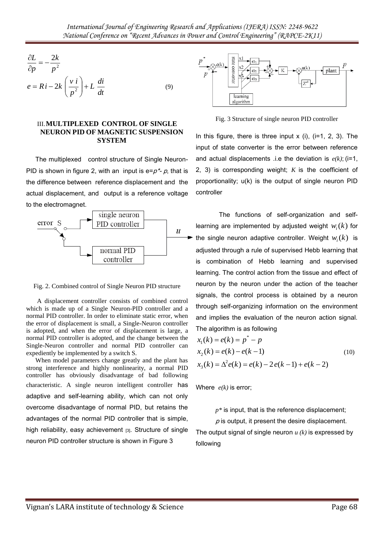$$
\frac{\partial L}{\partial p} = -\frac{2k}{p^2}
$$
  

$$
e = Ri - 2k \left(\frac{v i}{p^2}\right) + L \frac{di}{dt}
$$
 (9)

### III.**MULTIPLEXED CONTROL OF SINGLE NEURON PID OF MAGNETIC SUSPENSION SYSTEM**

The multiplexed control structure of Single Neuron-PID is shown in figure 2, with an input is  $e=p^*$ - p, that is the difference between reference displacement and the actual displacement, and output is a reference voltage to the electromagnet.



Fig. 2. Combined control of Single Neuron PID structure

A displacement controller consists of combined control which is made up of a Single Neuron-PID controller and a normal PID controller. In order to eliminate static error, when the error of displacement is small, a Single-Neuron controller is adopted, and when the error of displacement is large, a normal PID controller is adopted, and the change between the Single-Neuron controller and normal PID controller can expediently be implemented by a switch S.

When model parameters change greatly and the plant has strong interference and highly nonlinearity, a normal PID controller has obviously disadvantage of bad following characteristic. A single neuron intelligent controller has adaptive and self-learning ability, which can not only overcome disadvantage of normal PID, but retains the advantages of the normal PID controller that is simple, high reliability, easy achievement [3]. Structure of single neuron PID controller structure is shown in Figure 3



Fig. 3 Structure of single neuron PID controller

In this figure, there is three input  $x$  (i), (i=1, 2, 3). The input of state converter is the error between reference and actual displacements .i.e the deviation is  $e(k)$ ; (i=1, 2, 3) is corresponding weight; *K* is the coefficient of proportionality; u(k) is the output of single neuron PID controller

The functions of self-organization and selflearning are implemented by adjusted weight  $w_i(k)$  for the single neuron adaptive controller. Weight  $w_i(k)$  is adjusted through a rule of supervised Hebb learning that is combination of Hebb learning and supervised learning. The control action from the tissue and effect of neuron by the neuron under the action of the teacher signals, the control process is obtained by a neuron through self-organizing information on the environment and implies the evaluation of the neuron action signal. The algorithm is as following

$$
x_1(k) = e(k) = p^* - p
$$
  
\n
$$
x_2(k) = e(k) - e(k - 1)
$$
  
\n
$$
x_3(k) = \Delta^2 e(k) = e(k) - 2e(k - 1) + e(k - 2)
$$
\n(10)

Where *e(k)* is error;

 $p^*$  is input, that is the reference displacement;

 $\rho$  is output, it present the desire displacement.

The output signal of single neuron *u (k)* is expressed by following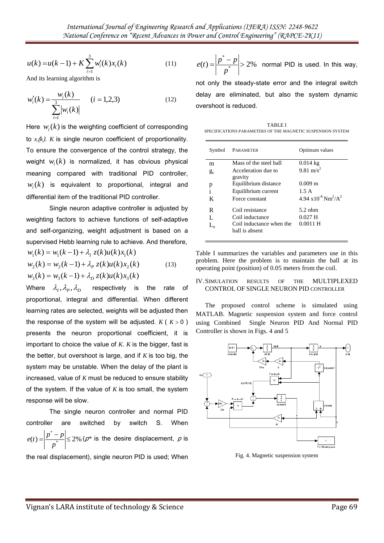$$
u(k) = u(k-1) + K \sum_{i=1}^{3} w'_i(k) x_i(k)
$$
 (11)

And its learning algorithm is

$$
w'_{i}(k) = \frac{w_{i}(k)}{\sum_{i=1}^{3} |w_{i}(k)|} \qquad (i = 1, 2, 3)
$$
 (12)

Here  $w_i(k)$  is the weighting coefficient of corresponding to  $x(k)$ . *K* is single neuron coefficient of proportionality. To ensure the convergence of the control strategy, the weight  $w_i(k)$  is normalized, it has obvious physical meaning compared with traditional PID controller,  $w_i(k)$  is equivalent to proportional, integral and differential item of the traditional PID controller.

Single neuron adaptive controller is adjusted by weighting factors to achieve functions of self-adaptive and self-organizing, weight adjustment is based on a supervised Hebb learning rule to achieve. And therefore,  $w_1(k) = w_1(k-1) + \lambda_i z(k)u(k)x_1(k)$ 

$$
w_2(k) = w_2(k-1) + \lambda_p z(k)u(k)x_2(k)
$$
  
\n
$$
w_3(k) = w_3(k-1) + \lambda_p z(k)u(k)x_3(k)
$$
\n(13)

 $w(k) = w(k - 1) + K \sum_{n=1}^{\infty} w(nk)z(nk)$  (1)  $e(t) = \frac{|t^2 - t^2|}{|t^2 - t^2|}$ , be formula elsewise and the magnitude of the state of technology & Science Page 69 (a) and the state of technology  $w(k)$  is the weighting coefficient of Where  $\lambda_{I}^{},\lambda_{P}^{},\lambda_{D}^{}$ respectively is the rate of proportional, integral and differential. When different learning rates are selected, weights will be adjusted then the response of the system will be adjusted.  $K(K>0)$ presents the neuron proportional coefficient, it is important to choice the value of *K*. *K* is the bigger, fast is the better, but overshoot is large, and if *K* is too big, the system may be unstable. When the delay of the plant is increased, value of *K* must be reduced to ensure stability of the system. If the value of *K* is too small, the system response will be slow.

The single neuron controller and normal PID controller are switched by switch S. When  $(t) = \frac{|P - P|}{r^*} \le 2\%$  $=\left|\frac{p^*-p}{p^*}\right|\leq$ *p*  $e(t) = \frac{\left|p^* - p\right|}{\sqrt{p^* - p}} \leq 2\%$  ( $\rho^*$  is the desire displacement,  $\rho$  is

the real displacement), single neuron PID is used; When

$$
e(t) = \left| \frac{p^* - p}{p^*} \right| > 2\%
$$
 normal PID is used. In this way,

not only the steady-state error and the integral switch delay are eliminated, but also the system dynamic overshoot is reduced.

TABLE I SPECIFICATIONS PARAMETERS OF THE MAGNETIC SUSPENSION SYSTEM

| Symbol           | PARAMETER                                  | Optimum values                                        |
|------------------|--------------------------------------------|-------------------------------------------------------|
| m                | Mass of the steel hall                     | $0.014$ kg                                            |
| $g_c$            | Acceleration due to<br>gravity             | 9.81 m/s <sup>2</sup>                                 |
| p                | Equilibrium distance                       | $0.009 \; \mathrm{m}$                                 |
| $\mathbf{i}$     | Equilibrium current                        | 1.5A                                                  |
| K                | Force constant                             | $4.94 \times 10^{-6}$ Nm <sup>2</sup> /A <sup>2</sup> |
| R                | Coil resistance                            | $5.2$ ohm                                             |
| L                | Coil inductance                            | $0.027$ H                                             |
| $\Gamma^{\circ}$ | Coil inductance when the<br>ball is absent | $0.0011$ H                                            |

Table I summarizes the variables and parameters use in this problem. Here the problem is to maintain the ball at its operating point (position) of 0.05 meters from the coil.

#### IV.SIMULATION RESULTS OF THE MULTIPLEXED CONTROL OF SINGLE NEURON PID CONTROLLER

The proposed control scheme is simulated using MATLAB. Magnetic suspension system and force control using Combined Single Neuron PID And Normal PID Controller is shown in Figs. 4 and 5



Fig. 4. Magnetic suspension system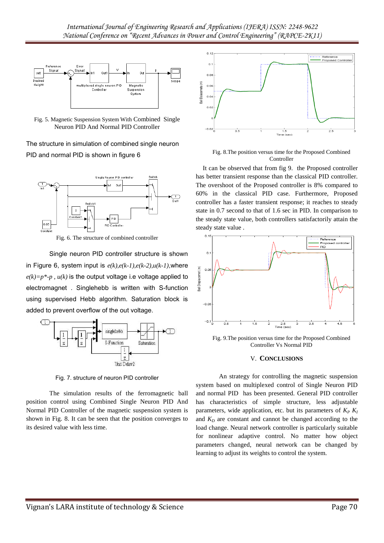

Fig. 5. Magnetic Suspension System With Combined Single Neuron PID And Normal PID Controller

The structure in simulation of combined single neuron PID and normal PID is shown in figure 6



Fig. 6. The structure of combined controller

Single neuron PID controller structure is shown in Figure 6, system input is *e(k),e(k-1),e(k-2),u(k-1)*,where  $e(k)=p^*-p$ ,  $u(k)$  is the output voltage i.e voltage applied to electromagnet . Singlehebb is written with S-function using supervised Hebb algorithm. Saturation block is added to prevent overflow of the out voltage.



Fig. 7. structure of neuron PID controller

The simulation results of the ferromagnetic ball position control using Combined Single Neuron PID And Normal PID Controller of the magnetic suspension system is shown in Fig. 8. It can be seen that the position converges to its desired value with less time.



Fig. 8.The position versus time for the Proposed Combined Controller

It can be observed that from fig 9. the Proposed controller has better transient response than the classical PID controller. The overshoot of the Proposed controller is 8% compared to 60% in the classical PID case. Furthermore, Proposed controller has a faster transient response; it reaches to steady state in 0.7 second to that of 1.6 sec in PID. In comparison to the steady state value, both controllers satisfactorily attain the steady state value .



Fig. 9.The position versus time for the Proposed Combined Controller Vs Normal PID

## V. **CONCLUSIONS**

An strategy for controlling the magnetic suspension system based on multiplexed control of Single Neuron PID and normal PID has been presented. General PID controller has characteristics of simple structure, less adjustable parameters, wide application, etc. but its parameters of  $K_P K_I$ and  $K_D$  are constant and cannot be changed according to the load change. Neural network controller is particularly suitable for nonlinear adaptive control. No matter how object parameters changed, neural network can be changed by learning to adjust its weights to control the system.